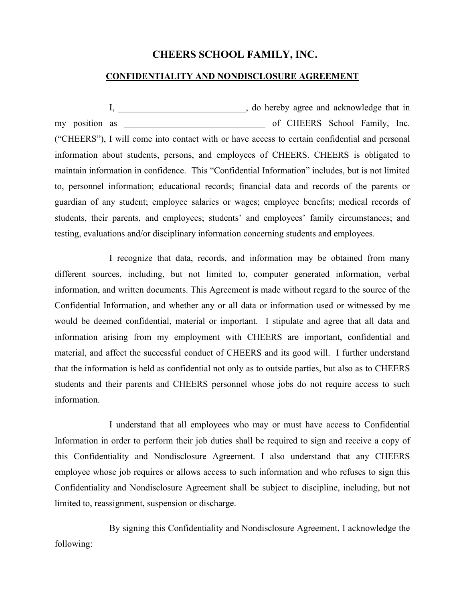## **CHEERS SCHOOL FAMILY, INC.**

## **CONFIDENTIALITY AND NONDISCLOSURE AGREEMENT**

I, \_\_\_\_\_\_\_\_\_\_\_\_\_\_\_\_\_\_\_\_\_\_\_\_\_\_\_\_, do hereby agree and acknowledge that in my position as \_\_\_\_\_\_\_\_\_\_\_\_\_\_\_\_\_\_\_\_\_\_\_\_\_\_\_\_\_\_\_ of CHEERS School Family, Inc. ("CHEERS"), I will come into contact with or have access to certain confidential and personal information about students, persons, and employees of CHEERS. CHEERS is obligated to maintain information in confidence. This "Confidential Information" includes, but is not limited to, personnel information; educational records; financial data and records of the parents or guardian of any student; employee salaries or wages; employee benefits; medical records of students, their parents, and employees; students' and employees' family circumstances; and testing, evaluations and/or disciplinary information concerning students and employees.

I recognize that data, records, and information may be obtained from many different sources, including, but not limited to, computer generated information, verbal information, and written documents. This Agreement is made without regard to the source of the Confidential Information, and whether any or all data or information used or witnessed by me would be deemed confidential, material or important. I stipulate and agree that all data and information arising from my employment with CHEERS are important, confidential and material, and affect the successful conduct of CHEERS and its good will. I further understand that the information is held as confidential not only as to outside parties, but also as to CHEERS students and their parents and CHEERS personnel whose jobs do not require access to such information.

I understand that all employees who may or must have access to Confidential Information in order to perform their job duties shall be required to sign and receive a copy of this Confidentiality and Nondisclosure Agreement. I also understand that any CHEERS employee whose job requires or allows access to such information and who refuses to sign this Confidentiality and Nondisclosure Agreement shall be subject to discipline, including, but not limited to, reassignment, suspension or discharge.

By signing this Confidentiality and Nondisclosure Agreement, I acknowledge the following: